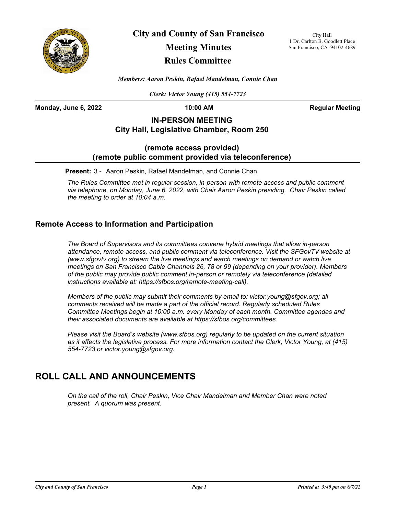

**City and County of San Francisco**

# **Meeting Minutes**

### **Rules Committee**

City Hall 1 Dr. Carlton B. Goodlett Place San Francisco, CA 94102-4689

*Members: Aaron Peskin, Rafael Mandelman, Connie Chan*

*Clerk: Victor Young (415) 554-7723*

**Monday, June 6, 2022 10:00 AM Regular Meeting**

### **IN-PERSON MEETING City Hall, Legislative Chamber, Room 250**

#### **(remote access provided) (remote public comment provided via teleconference)**

**Present:** 3 - Aaron Peskin, Rafael Mandelman, and Connie Chan

*The Rules Committee met in regular session, in-person with remote access and public comment via telephone, on Monday, June 6, 2022, with Chair Aaron Peskin presiding. Chair Peskin called the meeting to order at 10:04 a.m.*

#### **Remote Access to Information and Participation**

*The Board of Supervisors and its committees convene hybrid meetings that allow in-person attendance, remote access, and public comment via teleconference. Visit the SFGovTV website at (www.sfgovtv.org) to stream the live meetings and watch meetings on demand or watch live meetings on San Francisco Cable Channels 26, 78 or 99 (depending on your provider). Members of the public may provide public comment in-person or remotely via teleconference (detailed instructions available at: https://sfbos.org/remote-meeting-call).* 

*Members of the public may submit their comments by email to: victor.young@sfgov.org; all comments received will be made a part of the official record. Regularly scheduled Rules Committee Meetings begin at 10:00 a.m. every Monday of each month. Committee agendas and their associated documents are available at https://sfbos.org/committees.*

*Please visit the Board's website (www.sfbos.org) regularly to be updated on the current situation as it affects the legislative process. For more information contact the Clerk, Victor Young, at (415) 554-7723 or victor.young@sfgov.org.*

## **ROLL CALL AND ANNOUNCEMENTS**

*On the call of the roll, Chair Peskin, Vice Chair Mandelman and Member Chan were noted present. A quorum was present.*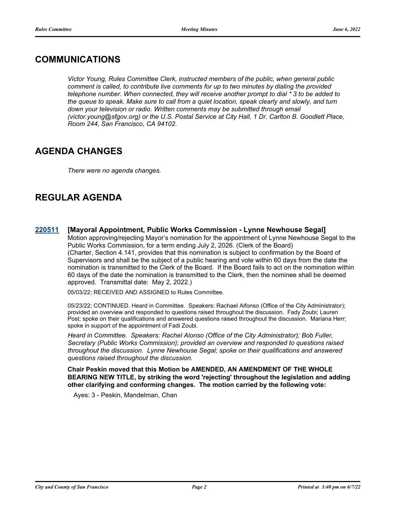## **COMMUNICATIONS**

*Victor Young, Rules Committee Clerk, instructed members of the public, when general public comment is called, to contribute live comments for up to two minutes by dialing the provided telephone number. When connected, they will receive another prompt to dial \* 3 to be added to the queue to speak. Make sure to call from a quiet location, speak clearly and slowly, and turn*  down your television or radio. Written comments may be submitted through email *(victor.young@sfgov.org) or the U.S. Postal Service at City Hall, 1 Dr. Carlton B. Goodlett Place, Room 244, San Francisco, CA 94102.*

## **AGENDA CHANGES**

*There were no agenda changes.*

## **REGULAR AGENDA**

**[220511](http://sfgov.legistar.com/gateway.aspx?m=l&id=38703) [Mayoral Appointment, Public Works Commission - Lynne Newhouse Segal]** Motion approving/rejecting Mayor's nomination for the appointment of Lynne Newhouse Segal to the Public Works Commission, for a term ending July 2, 2026. (Clerk of the Board) (Charter, Section 4.141, provides that this nomination is subject to confirmation by the Board of Supervisors and shall be the subject of a public hearing and vote within 60 days from the date the nomination is transmitted to the Clerk of the Board. If the Board fails to act on the nomination within 60 days of the date the nomination is transmitted to the Clerk, then the nominee shall be deemed approved. Transmittal date: May 2, 2022.)

05/03/22; RECEIVED AND ASSIGNED to Rules Committee.

05/23/22; CONTINUED. Heard in Committee. Speakers: Rachael Alfonso (Office of the City Administrator); provided an overview and responded to questions raised throughout the discussion. Fady Zoubi; Lauren Post; spoke on their qualifications and answered questions raised throughout the discussion. Mariana Herr; spoke in support of the appointment of Fadi Zoubi.

*Heard in Committee. Speakers: Rachel Alonso (Office of the City Administrator); Bob Fuller, Secretary (Public Works Commission); provided an overview and responded to questions raised throughout the discussion. Lynne Newhouse Segal; spoke on their qualifications and answered questions raised throughout the discussion.*

**Chair Peskin moved that this Motion be AMENDED, AN AMENDMENT OF THE WHOLE BEARING NEW TITLE, by striking the word 'rejecting' throughout the legislation and adding other clarifying and conforming changes. The motion carried by the following vote:**

Ayes: 3 - Peskin, Mandelman, Chan